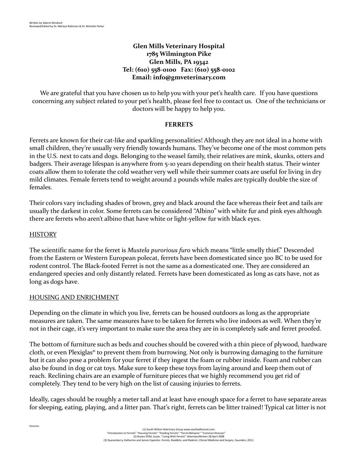## **Glen Mills Veterinary Hospital 1785 Wilmington Pike Glen Mills, PA 19342 Tel: (610) 558-0100 Fax: (610) 558-0102 Email: [info@gmveterinary.com](mailto:info@gmveterinary.com)**

We are grateful that you have chosen us to help you with your pet's health care. If you have questions concerning any subject related to your pet's health, please feel free to contact us. One of the technicians or doctors will be happy to help you.

#### **FERRETS**

Ferrets are known for their cat-like and sparkling personalities! Although they are not ideal in a home with small children, they're usually very friendly towards humans. They've become one of the most common pets in the U.S. next to cats and dogs. Belonging to the weasel family, their relatives are mink, skunks, otters and badgers. Their average lifespan is anywhere from 5-10 years depending on their health status. Their winter coats allow them to tolerate the cold weather very well while their summer coats are useful for living in dry mild climates. Female ferrets tend to weight around 2 pounds while males are typically double the size of females.

Their colors vary including shades of brown, grey and black around the face whereas their feet and tails are usually the darkest in color. Some ferrets can be considered "Albino" with white fur and pink eyes although there are ferrets who aren't albino that have white or light-yellow fur with black eyes.

#### **HISTORY**

Sources:

The scientific name for the ferret is *Mustela purorious furo* which means "little smelly thief." Descended from the Eastern or Western European polecat, ferrets have been domesticated since 300 BC to be used for rodent control. The Black-footed Ferret is not the same as a domesticated one. They are considered an endangered species and only distantly related. Ferrets have been domesticated as long as cats have, not as long as dogs have.

#### HOUSING AND ENRICHMENT

Depending on the climate in which you live, ferrets can be housed outdoors as long as the appropriate measures are taken. The same measures have to be taken for ferrets who live indoors as well. When they're not in their cage, it's very important to make sure the area they are in is completely safe and ferret proofed.

The bottom of furniture such as beds and couches should be covered with a thin piece of plywood, hardware cloth, or even Plexiglas® to prevent them from burrowing. Not only is burrowing damaging to the furniture but it can also pose a problem for your ferret if they ingest the foam or rubber inside. Foam and rubber can also be found in dog or cat toys. Make sure to keep these toys from laying around and keep them out of reach. Reclining chairs are an example of furniture pieces that we highly recommend you get rid of completely. They tend to be very high on the list of causing injuries to ferrets.

Ideally, cages should be roughly a meter tall and at least have enough space for a ferret to have separate areas for sleeping, eating, playing, and a litter pan. That's right, ferrets can be litter trained! Typical cat litter is not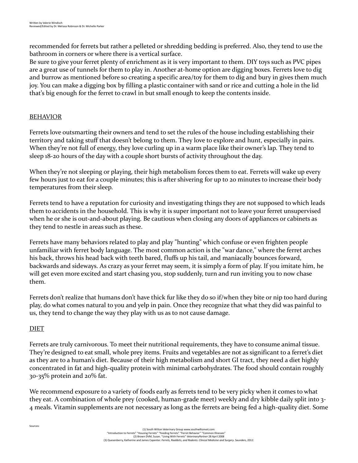recommended for ferrets but rather a pelleted or shredding bedding is preferred. Also, they tend to use the bathroom in corners or where there is a vertical surface.

Be sure to give your ferret plenty of enrichment as it is very important to them. DIY toys such as PVC pipes are a great use of tunnels for them to play in. Another at-home option are digging boxes. Ferrets love to dig and burrow as mentioned before so creating a specific area/toy for them to dig and bury in gives them much joy. You can make a digging box by filling a plastic container with sand or rice and cutting a hole in the lid that's big enough for the ferret to crawl in but small enough to keep the contents inside.

## BEHAVIOR

Ferrets love outsmarting their owners and tend to set the rules of the house including establishing their territory and taking stuff that doesn't belong to them. They love to explore and hunt, especially in pairs. When they're not full of energy, they love curling up in a warm place like their owner's lap. They tend to sleep 18-20 hours of the day with a couple short bursts of activity throughout the day.

When they're not sleeping or playing, their high metabolism forces them to eat. Ferrets will wake up every few hours just to eat for a couple minutes; this is after shivering for up to 20 minutes to increase their body temperatures from their sleep.

Ferrets tend to have a reputation for curiosity and investigating things they are not supposed to which leads them to accidents in the household. This is why it is super important not to leave your ferret unsupervised when he or she is out-and-about playing. Be cautious when closing any doors of appliances or cabinets as they tend to nestle in areas such as these.

Ferrets have many behaviors related to play and play "hunting" which confuse or even frighten people unfamiliar with ferret body language. The most common action is the "war dance," where the ferret arches his back, throws his head back with teeth bared, fluffs up his tail, and maniacally bounces forward, backwards and sideways. As crazy as your ferret may seem, it is simply a form of play. If you imitate him, he will get even more excited and start chasing you, stop suddenly, turn and run inviting you to now chase them.

Ferrets don't realize that humans don't have thick fur like they do so if/when they bite or nip too hard during play, do what comes natural to you and yelp in pain. Once they recognize that what they did was painful to us, they tend to change the way they play with us as to not cause damage.

## DIET

Sources:

Ferrets are truly carnivorous. To meet their nutritional requirements, they have to consume animal tissue. They're designed to eat small, whole prey items. Fruits and vegetables are not as significant to a ferret's diet as they are to a human's diet. Because of their high metabolism and short GI tract, they need a diet highly concentrated in fat and high-quality protein with minimal carbohydrates. The food should contain roughly 30-35% protein and 20% fat.

We recommend exposure to a variety of foods early as ferrets tend to be very picky when it comes to what they eat. A combination of whole prey (cooked, human-grade meet) weekly and dry kibble daily split into 3- 4 meals. Vitamin supplements are not necessary as long as the ferrets are being fed a high-quality diet. Some